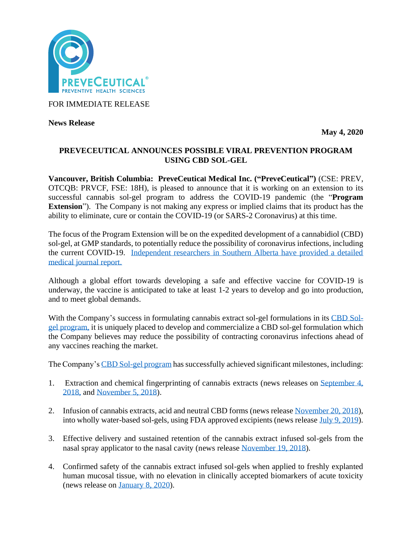

FOR IMMEDIATE RELEASE

**News Release** 

**May 4, 2020**

### **PREVECEUTICAL ANNOUNCES POSSIBLE VIRAL PREVENTION PROGRAM USING CBD SOL-GEL**

**Vancouver, British Columbia: PreveCeutical Medical Inc. ("PreveCeutical")** (CSE: PREV, OTCQB: PRVCF, FSE: 18H), is pleased to announce that it is working on an extension to its successful cannabis sol-gel program to address the COVID-19 pandemic (the "**Program Extension**"). The Company is not making any express or implied claims that its product has the ability to eliminate, cure or contain the COVID-19 (or SARS-2 Coronavirus) at this time.

The focus of the Program Extension will be on the expedited development of a cannabidiol (CBD) sol-gel, at GMP standards, to potentially reduce the possibility of coronavirus infections, including the current COVID-19. [Independent researchers in Southern Alberta have provided a detailed](https://www.preprints.org/manuscript/202004.0315/v1)  [medical journal report.](https://www.preprints.org/manuscript/202004.0315/v1)

Although a global effort towards developing a safe and effective vaccine for COVID-19 is underway, the vaccine is anticipated to take at least 1-2 years to develop and go into production, and to meet global demands.

With the Company's success in formulating cannabis extract sol-gel formulations in its [CBD Sol](https://www.preveceutical.com/research-development/sol-gel/)[gel program,](https://www.preveceutical.com/research-development/sol-gel/) it is uniquely placed to develop and commercialize a CBD sol-gel formulation which the Company believes may reduce the possibility of contracting coronavirus infections ahead of any vaccines reaching the market.

The Company'[s CBD Sol-gel program](https://www.preveceutical.com/research-development/sol-gel/) has successfully achieved significant milestones, including:

- 1. Extraction and chemical fingerprinting of cannabis extracts (news releases on [September 4,](https://www.preveceutical.com/investors/news/preveceutical-develops-proprietary-extraction-protocol-for-medical-cannabinoids-to-be-used-with-the-sol-gel-drug-delivery-program)  [2018,](https://www.preveceutical.com/investors/news/preveceutical-develops-proprietary-extraction-protocol-for-medical-cannabinoids-to-be-used-with-the-sol-gel-drug-delivery-program) and [November 5, 2018\)](https://www.preveceutical.com/investors/news/preveceutical-applies-its-proprietary-extraction-protocol-for-medical-cannabinoids-to-two-additional-cannabis-strains).
- 2. Infusion of cannabis extracts, acid and neutral CBD forms (news release [November 20, 2018\)](https://www.preveceutical.com/investors/news/preveceutical-converts-acidic-phytocannabinoids-to-neutral-form-and--doubles-contents-of-fingerprinted-cannabis-extract-library-), into wholly water-based sol-gels, using FDA approved excipients (news release [July 9, 2019\)](https://www.preveceutical.com/investors/news/preveceutical-successfully-incorporates-medicinal-cannabis-extracts-into-the-sol-gel-drug-delivery-system-).
- 3. Effective delivery and sustained retention of the cannabis extract infused sol-gels from the nasal spray applicator to the nasal cavity (news release [November 19, 2018\)](https://www.preveceutical.com/investors/news/preveceutical-confirms-encouraging-results-from-sol-gel-applicator-trials-for-achieving-direct-nose-to-brain-delivery-in-an-adult-human-nasal-cast).
- 4. Confirmed safety of the cannabis extract infused sol-gels when applied to freshly explanted human mucosal tissue, with no elevation in clinically accepted biomarkers of acute toxicity (news release on [January 8, 2020\)](https://www.preveceutical.com/investors/news/preveceutical-announces-positive-results-following-a-preliminary-safety-evaluation-of-sol-gel-formulations-when-applied-to-human-nasal-tissue).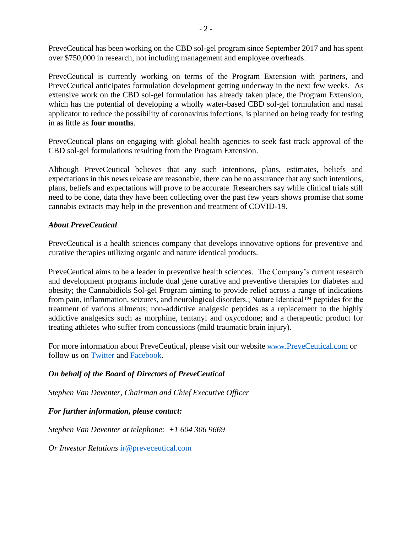PreveCeutical has been working on the CBD sol-gel program since September 2017 and has spent over \$750,000 in research, not including management and employee overheads.

PreveCeutical is currently working on terms of the Program Extension with partners, and PreveCeutical anticipates formulation development getting underway in the next few weeks. As extensive work on the CBD sol-gel formulation has already taken place, the Program Extension, which has the potential of developing a wholly water-based CBD sol-gel formulation and nasal applicator to reduce the possibility of coronavirus infections, is planned on being ready for testing in as little as **four months**.

PreveCeutical plans on engaging with global health agencies to seek fast track approval of the CBD sol-gel formulations resulting from the Program Extension.

Although PreveCeutical believes that any such intentions, plans, estimates, beliefs and expectations in this news release are reasonable, there can be no assurance that any such intentions, plans, beliefs and expectations will prove to be accurate. Researchers say while clinical trials still need to be done, data they have been collecting over the past few years shows promise that some cannabis extracts may help in the prevention and treatment of COVID-19.

#### *About PreveCeutical*

PreveCeutical is a health sciences company that develops innovative options for preventive and curative therapies utilizing organic and nature identical products.

PreveCeutical aims to be a leader in preventive health sciences. The Company's current research and development programs include dual gene curative and preventive therapies for diabetes and obesity; the Cannabidiols Sol-gel Program aiming to provide relief across a range of indications from pain, inflammation, seizures, and neurological disorders.; Nature Identical™ peptides for the treatment of various ailments; non-addictive analgesic peptides as a replacement to the highly addictive analgesics such as morphine, fentanyl and oxycodone; and a therapeutic product for treating athletes who suffer from concussions (mild traumatic brain injury).

For more information about PreveCeutical, please visit our website [www.PreveCeutical.com](http://www.preveceutical.com/) or follow us on [Twitter](http://twitter.com/PreveCeuticals) and [Facebook.](http://www.facebook.com/PreveCeutical)

# *On behalf of the Board of Directors of PreveCeutical*

*Stephen Van Deventer, Chairman and Chief Executive Officer*

# *For further information, please contact:*

*Stephen Van Deventer at telephone: +1 604 306 9669*

*Or Investor Relations* [ir@preveceutical.com](mailto:ir@preveceutical.com)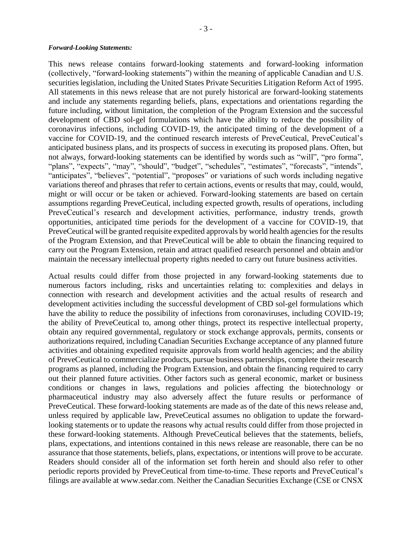#### *Forward-Looking Statements:*

This news release contains forward-looking statements and forward-looking information (collectively, "forward-looking statements") within the meaning of applicable Canadian and U.S. securities legislation, including the United States Private Securities Litigation Reform Act of 1995. All statements in this news release that are not purely historical are forward-looking statements and include any statements regarding beliefs, plans, expectations and orientations regarding the future including, without limitation, the completion of the Program Extension and the successful development of CBD sol-gel formulations which have the ability to reduce the possibility of coronavirus infections, including COVID-19, the anticipated timing of the development of a vaccine for COVID-19, and the continued research interests of PreveCeutical, PreveCeutical's anticipated business plans, and its prospects of success in executing its proposed plans. Often, but not always, forward-looking statements can be identified by words such as "will", "pro forma", "plans", "expects", "may", "should", "budget", "schedules", "estimates", "forecasts", "intends", "anticipates", "believes", "potential", "proposes" or variations of such words including negative variations thereof and phrases that refer to certain actions, events or results that may, could, would, might or will occur or be taken or achieved. Forward-looking statements are based on certain assumptions regarding PreveCeutical, including expected growth, results of operations, including PreveCeutical's research and development activities, performance, industry trends, growth opportunities, anticipated time periods for the development of a vaccine for COVID-19, that PreveCeutical will be granted requisite expedited approvals by world health agencies for the results of the Program Extension, and that PreveCeutical will be able to obtain the financing required to carry out the Program Extension, retain and attract qualified research personnel and obtain and/or maintain the necessary intellectual property rights needed to carry out future business activities.

Actual results could differ from those projected in any forward-looking statements due to numerous factors including, risks and uncertainties relating to: complexities and delays in connection with research and development activities and the actual results of research and development activities including the successful development of CBD sol-gel formulations which have the ability to reduce the possibility of infections from coronaviruses, including COVID-19; the ability of PreveCeutical to, among other things, protect its respective intellectual property, obtain any required governmental, regulatory or stock exchange approvals, permits, consents or authorizations required, including Canadian Securities Exchange acceptance of any planned future activities and obtaining expedited requisite approvals from world health agencies; and the ability of PreveCeutical to commercialize products, pursue business partnerships, complete their research programs as planned, including the Program Extension, and obtain the financing required to carry out their planned future activities. Other factors such as general economic, market or business conditions or changes in laws, regulations and policies affecting the biotechnology or pharmaceutical industry may also adversely affect the future results or performance of PreveCeutical. These forward-looking statements are made as of the date of this news release and, unless required by applicable law, PreveCeutical assumes no obligation to update the forwardlooking statements or to update the reasons why actual results could differ from those projected in these forward-looking statements. Although PreveCeutical believes that the statements, beliefs, plans, expectations, and intentions contained in this news release are reasonable, there can be no assurance that those statements, beliefs, plans, expectations, or intentions will prove to be accurate. Readers should consider all of the information set forth herein and should also refer to other periodic reports provided by PreveCeutical from time-to-time. These reports and PreveCeutical's filings are available at www.sedar.com. Neither the Canadian Securities Exchange (CSE or CNSX